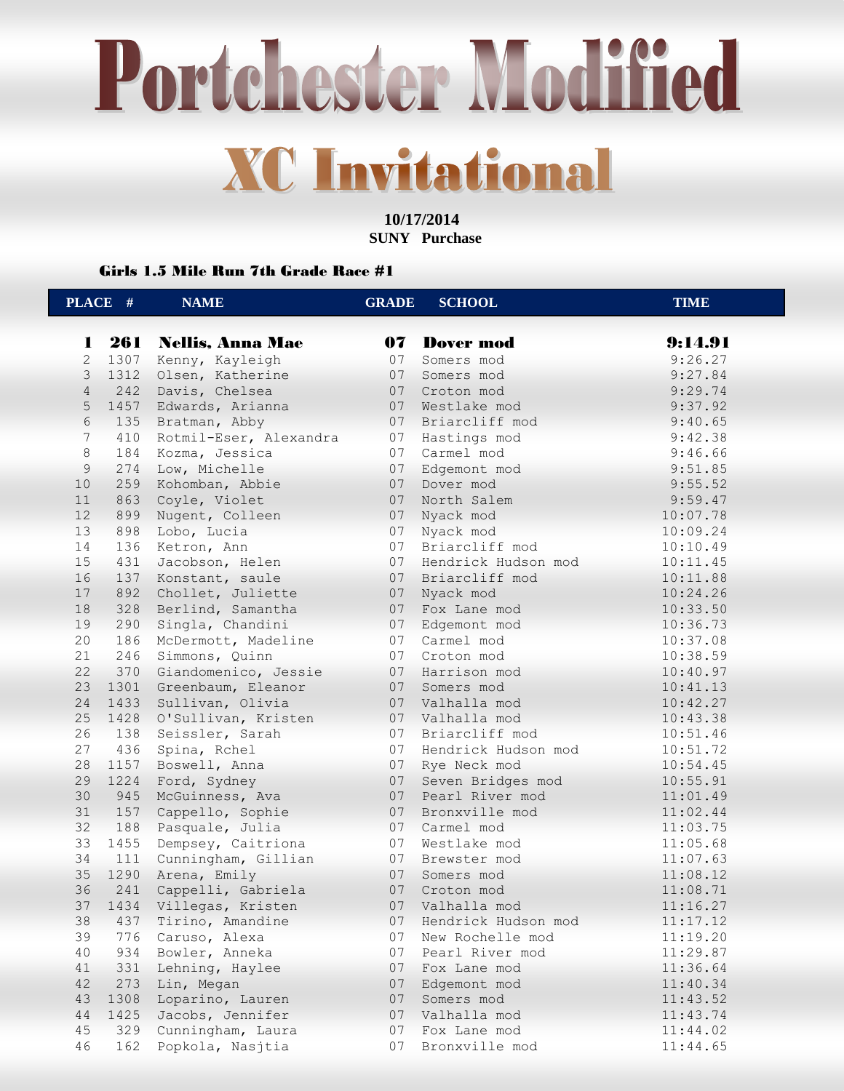**10/17/2014 SUNY Purchase** 

### Girls 1.5 Mile Run 7th Grade Race #1

|                 | PLACE # | <b>NAME</b>            | <b>GRADE</b> | <b>SCHOOL</b>       | <b>TIME</b> |
|-----------------|---------|------------------------|--------------|---------------------|-------------|
| 1               |         | 261 Nellis, Anna Mae   |              | 07 Dover mod        | 9:14.91     |
| $\mathbf{2}$    | 1307    | Kenny, Kayleigh        | 07           | Somers mod          | 9:26.27     |
| 3               | 1312    | Olsen, Katherine       | 07           | Somers mod          | 9:27.84     |
| $\overline{4}$  | 242     | Davis, Chelsea         | 07           | Croton mod          | 9:29.74     |
| 5               | 1457    | Edwards, Arianna       | 07           | Westlake mod        | 9:37.92     |
| 6               | 135     | Bratman, Abby          | 07           | Briarcliff mod      | 9:40.65     |
| $7\phantom{.0}$ | 410     | Rotmil-Eser, Alexandra | 07           | Hastings mod        | 9:42.38     |
| 8               | 184     | Kozma, Jessica         | 07           | Carmel mod          | 9:46.66     |
| 9               | 274     | Low, Michelle          | 07           | Edgemont mod        | 9:51.85     |
| 10              | 259     | Kohomban, Abbie        | 07           | Dover mod           | 9:55.52     |
| 11              | 863     | Coyle, Violet          | 07           | North Salem         | 9:59.47     |
| 12              | 899     | Nugent, Colleen        | 07           | Nyack mod           | 10:07.78    |
| 13              | 898     | Lobo, Lucia            | 07           | Nyack mod           | 10:09.24    |
| 14              | 136     | Ketron, Ann            | 07           | Briarcliff mod      | 10:10.49    |
| 15              | 431     | Jacobson, Helen        | 07           | Hendrick Hudson mod | 10:11.45    |
| 16              | 137     | Konstant, saule        | 07           | Briarcliff mod      | 10:11.88    |
| 17              | 892     | Chollet, Juliette      | 07           | Nyack mod           | 10:24.26    |
| 18              | 328     | Berlind, Samantha      | 07           | Fox Lane mod        | 10:33.50    |
| 19              | 290     | Singla, Chandini       | 07           | Edgemont mod        | 10:36.73    |
| 20              | 186     | McDermott, Madeline    | 07           | Carmel mod          | 10:37.08    |
| 21              | 246     | Simmons, Quinn         | 07           | Croton mod          | 10:38.59    |
| 22              | 370     | Giandomenico, Jessie   |              | 07 Harrison mod     | 10:40.97    |
| 23              | 1301    | Greenbaum, Eleanor     | 07           | Somers mod          | 10:41.13    |
| 24              | 1433    | Sullivan, Olivia       | 07           | Valhalla mod        | 10:42.27    |
| 25              | 1428    | O'Sullivan, Kristen    | 07           | Valhalla mod        | 10:43.38    |
| 26              | 138     | Seissler, Sarah        | 07           | Briarcliff mod      | 10:51.46    |
| 27              | 436     | Spina, Rchel           | 07           | Hendrick Hudson mod | 10:51.72    |
| 28              | 1157    | Boswell, Anna          | 07           | Rye Neck mod        | 10:54.45    |
| 29              | 1224    | Ford, Sydney           | 07           | Seven Bridges mod   | 10:55.91    |
| 30              | 945     | McGuinness, Ava        | 07           | Pearl River mod     | 11:01.49    |
| 31              | 157     | Cappello, Sophie       | 07           | Bronxville mod      | 11:02.44    |
| 32              | 188     | Pasquale, Julia        |              | 07 Carmel mod       | 11:03.75    |
| 33              | 1455    | Dempsey, Caitriona     | 07           | Westlake mod        | 11:05.68    |
| 34              | 111     | Cunningham, Gillian    | 07           | Brewster mod        | 11:07.63    |
| 35              | 1290    | Arena, Emily           | 07           | Somers mod          | 11:08.12    |
| 36              | 241     | Cappelli, Gabriela     | 07           | Croton mod          | 11:08.71    |
| 37              | 1434    | Villegas, Kristen      | 07           | Valhalla mod        | 11:16.27    |
| 38              | 437     | Tirino, Amandine       | 07           | Hendrick Hudson mod | 11:17.12    |
| 39              | 776     | Caruso, Alexa          | 07           | New Rochelle mod    | 11:19.20    |
| 40              | 934     | Bowler, Anneka         | 07           | Pearl River mod     | 11:29.87    |
| 41              | 331     | Lehning, Haylee        | 07           | Fox Lane mod        | 11:36.64    |
| 42              | 273     | Lin, Megan             | 07           | Edgemont mod        | 11:40.34    |
| 43              | 1308    | Loparino, Lauren       | 07           | Somers mod          | 11:43.52    |
| 44              | 1425    | Jacobs, Jennifer       | 07           | Valhalla mod        | 11:43.74    |
| 45              | 329     | Cunningham, Laura      | 07           | Fox Lane mod        | 11:44.02    |
| 46              | 162     | Popkola, Nasjtia       | 07           | Bronxville mod      | 11:44.65    |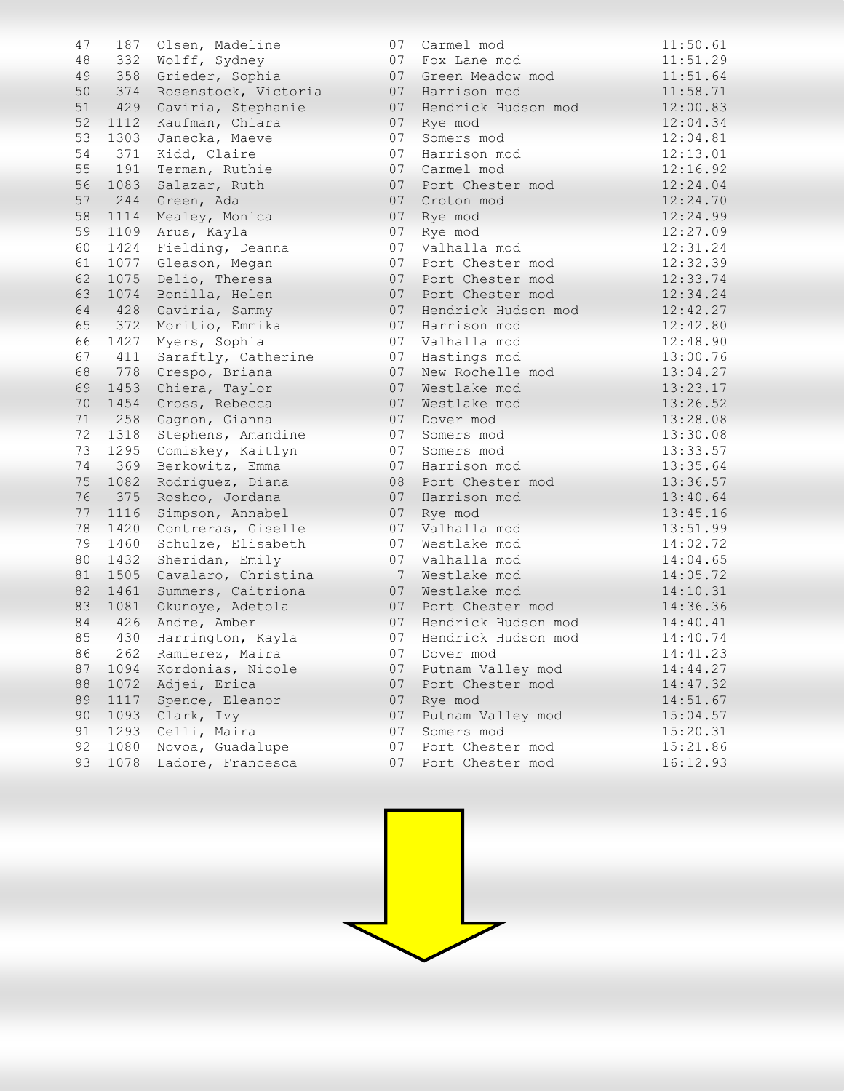| 47 |      | 187 Olsen, Madeline  | 07 | Carmel mod          | 11:50.61 |
|----|------|----------------------|----|---------------------|----------|
| 48 | 332  | Wolff, Sydney        | 07 | Fox Lane mod        | 11:51.29 |
| 49 | 358  | Grieder, Sophia      | 07 | Green Meadow mod    | 11:51.64 |
| 50 | 374  | Rosenstock, Victoria | 07 | Harrison mod        | 11:58.71 |
| 51 | 429  | Gaviria, Stephanie   | 07 | Hendrick Hudson mod | 12:00.83 |
| 52 | 1112 | Kaufman, Chiara      | 07 | Rye mod             | 12:04.34 |
| 53 | 1303 | Janecka, Maeve       | 07 | Somers mod          | 12:04.81 |
| 54 | 371  | Kidd, Claire         | 07 | Harrison mod        | 12:13.01 |
| 55 | 191  | Terman, Ruthie       | 07 | Carmel mod          | 12:16.92 |
| 56 | 1083 | Salazar, Ruth        | 07 | Port Chester mod    | 12:24.04 |
| 57 | 244  | Green, Ada           | 07 | Croton mod          | 12:24.70 |
| 58 | 1114 | Mealey, Monica       | 07 | Rye mod             | 12:24.99 |
| 59 | 1109 | Arus, Kayla          | 07 | Rye mod             | 12:27.09 |
| 60 | 1424 | Fielding, Deanna     | 07 | Valhalla mod        | 12:31.24 |
| 61 | 1077 | Gleason, Megan       | 07 | Port Chester mod    | 12:32.39 |
| 62 | 1075 | Delio, Theresa       | 07 | Port Chester mod    | 12:33.74 |
| 63 | 1074 | Bonilla, Helen       | 07 | Port Chester mod    | 12:34.24 |
| 64 | 428  | Gaviria, Sammy       | 07 | Hendrick Hudson mod | 12:42.27 |
| 65 | 372  | Moritio, Emmika      | 07 | Harrison mod        | 12:42.80 |
| 66 | 1427 | Myers, Sophia        | 07 | Valhalla mod        | 12:48.90 |
| 67 | 411  | Saraftly, Catherine  | 07 | Hastings mod        | 13:00.76 |
| 68 | 778  | Crespo, Briana       | 07 | New Rochelle mod    | 13:04.27 |
| 69 | 1453 | Chiera, Taylor       | 07 | Westlake mod        | 13:23.17 |
| 70 | 1454 | Cross, Rebecca       | 07 | Westlake mod        | 13:26.52 |
| 71 | 258  | Gagnon, Gianna       | 07 | Dover mod           | 13:28.08 |
| 72 | 1318 | Stephens, Amandine   | 07 | Somers mod          | 13:30.08 |
| 73 | 1295 | Comiskey, Kaitlyn    | 07 | Somers mod          | 13:33.57 |
| 74 | 369  | Berkowitz, Emma      | 07 | Harrison mod        | 13:35.64 |
| 75 | 1082 | Rodriguez, Diana     | 08 | Port Chester mod    | 13:36.57 |
| 76 | 375  | Roshco, Jordana      | 07 | Harrison mod        | 13:40.64 |
| 77 | 1116 | Simpson, Annabel     | 07 | Rye mod             | 13:45.16 |
| 78 | 1420 | Contreras, Giselle   | 07 | Valhalla mod        | 13:51.99 |
| 79 | 1460 | Schulze, Elisabeth   | 07 | Westlake mod        | 14:02.72 |
| 80 | 1432 | Sheridan, Emily      | 07 | Valhalla mod        | 14:04.65 |
| 81 | 1505 | Cavalaro, Christina  |    | 7 Westlake mod      | 14:05.72 |
| 82 | 1461 | Summers, Caitriona   | 07 | Westlake mod        | 14:10.31 |
| 83 | 1081 | Okunoye, Adetola     | 07 | Port Chester mod    | 14:36.36 |
| 84 | 426  | Andre, Amber         | 07 | Hendrick Hudson mod | 14:40.41 |
| 85 | 430  | Harrington, Kayla    | 07 | Hendrick Hudson mod | 14:40.74 |
| 86 | 262  | Ramierez, Maira      |    | 07 Dover mod        | 14:41.23 |
| 87 | 1094 | Kordonias, Nicole    | 07 | Putnam Valley mod   | 14:44.27 |
| 88 | 1072 | Adjei, Erica         | 07 | Port Chester mod    | 14:47.32 |
| 89 | 1117 | Spence, Eleanor      | 07 | Rye mod             | 14:51.67 |
| 90 | 1093 | Clark, Ivy           | 07 | Putnam Valley mod   | 15:04.57 |
| 91 | 1293 | Celli, Maira         | 07 | Somers mod          | 15:20.31 |
| 92 | 1080 | Novoa, Guadalupe     | 07 | Port Chester mod    | 15:21.86 |
| 93 | 1078 | Ladore, Francesca    | 07 | Port Chester mod    | 16:12.93 |

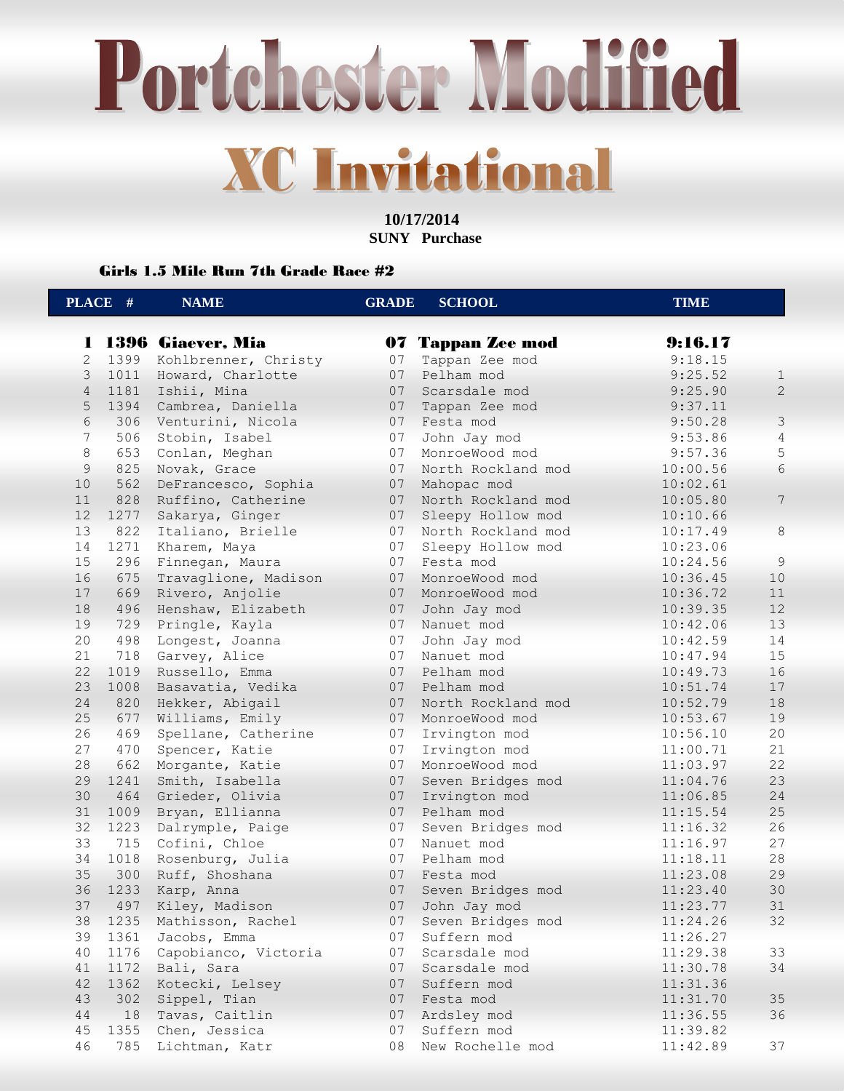**10/17/2014 SUNY Purchase** 

Girls 1.5 Mile Run 7th Grade Race #2

|                | PLACE #    | <b>NAME</b>                        | <b>GRADE</b> | <b>SCHOOL</b>                   | <b>TIME</b>          |                |
|----------------|------------|------------------------------------|--------------|---------------------------------|----------------------|----------------|
| п              |            | 1396 Giaever, Mia                  |              | 07 Tappan Zee mod               | 9:16.17              |                |
| $\mathbf{2}$   |            | 1399 Kohlbrenner, Christy          | 07           | Tappan Zee mod                  | 9:18.15              |                |
| $\mathcal{S}$  |            | 1011 Howard, Charlotte             | 07           | Pelham mod                      | 9:25.52              | $\mathbf{1}$   |
| $\overline{4}$ | 1181       | Ishii, Mina                        | 07           | Scarsdale mod                   | 9:25.90              | $\mathbf{2}$   |
| 5              | 1394       | Cambrea, Daniella                  | 07           | Tappan Zee mod                  | 9:37.11              |                |
| 6              |            | 306 Venturini, Nicola              | 07           | Festa mod                       | 9:50.28              | $\mathfrak{Z}$ |
| 7              | 506        | Stobin, Isabel                     | 07           | John Jay mod                    | 9:53.86              | $\overline{4}$ |
| 8              | 653        | Conlan, Meghan                     | 07           | MonroeWood mod                  | 9:57.36              | 5              |
| 9              | 825        | Novak, Grace                       | 07           | North Rockland mod              | 10:00.56             | 6              |
| 10             | 562        | DeFrancesco, Sophia                | 07           | Mahopac mod                     | 10:02.61             |                |
| 11             | 828        | Ruffino, Catherine                 | 07           | North Rockland mod              | 10:05.80             | 7              |
| 12             | 1277       | Sakarya, Ginger                    | 07           | Sleepy Hollow mod               | 10:10.66             |                |
| 13             | 822        | Italiano, Brielle                  | 07           | North Rockland mod              | 10:17.49             | $\,8\,$        |
| 14             | 1271       | Kharem, Maya                       | 07           | Sleepy Hollow mod               | 10:23.06             |                |
| 15             | 296        | Finnegan, Maura                    | 07           | Festa mod                       | 10:24.56             | $\overline{9}$ |
| 16             | 675        | Travaglione, Madison               | 07           | MonroeWood mod                  | 10:36.45             | 10             |
| 17             | 669        | Rivero, Anjolie                    | 07           | MonroeWood mod                  | 10:36.72             | 11             |
| 18             | 496        | Henshaw, Elizabeth                 | 07           | John Jay mod                    | 10:39.35             | 12             |
| 19             | 729        | Pringle, Kayla                     | 07           | Nanuet mod                      | 10:42.06             | 13             |
| 20             | 498        | Longest, Joanna                    | 07           | John Jay mod                    | 10:42.59             | 14             |
| 21             | 718        | Garvey, Alice                      | 07           | Nanuet mod                      | 10:47.94             | 15             |
| 22             | 1019       | Russello, Emma                     | 07           | Pelham mod                      | 10:49.73             | 16             |
| 23             | 1008       | Basavatia, Vedika                  | 07           | Pelham mod                      | 10:51.74             | 17             |
| 24             | 820        | Hekker, Abigail                    | 07           | North Rockland mod              | 10:52.79             | 18             |
| 25<br>26       | 677<br>469 | Williams, Emily                    | 07<br>07     | MonroeWood mod                  | 10:53.67             | 19<br>20       |
| 27             | 470        | Spellane, Catherine                | 07           | Irvington mod                   | 10:56.10             | 21             |
| 28             | 662        | Spencer, Katie                     | 07           | Irvington mod<br>MonroeWood mod | 11:00.71<br>11:03.97 | 22             |
| 29             | 1241       | Morgante, Katie<br>Smith, Isabella | 07           | Seven Bridges mod               | 11:04.76             | 23             |
| 30             | 464        | Grieder, Olivia                    | 07           | Irvington mod                   | 11:06.85             | 24             |
| 31             | 1009       | Bryan, Ellianna                    | 07           | Pelham mod                      | 11:15.54             | 25             |
| 32             | 1223       | Dalrymple, Paige                   | 07           | Seven Bridges mod               | 11:16.32             | 26             |
| 33             | 715        | Cofini, Chloe                      | 07           | Nanuet mod                      | 11:16.97             | 27             |
| 34             | 1018       | Rosenburg, Julia                   | 07           | Pelham mod                      | 11:18.11             | 28             |
| 35             | 300        | Ruff, Shoshana                     | 07           | Festa mod                       | 11:23.08             | 29             |
| 36             | 1233       | Karp, Anna                         | 07           | Seven Bridges mod               | 11:23.40             | 30             |
| 37             | 497        | Kiley, Madison                     | 07           | John Jay mod                    | 11:23.77             | $31\,$         |
| 38             | 1235       | Mathisson, Rachel                  | 07           | Seven Bridges mod               | 11:24.26             | 32             |
| 39             | 1361       | Jacobs, Emma                       | 07           | Suffern mod                     | 11:26.27             |                |
| 40             | 1176       | Capobianco, Victoria               | 07           | Scarsdale mod                   | 11:29.38             | 33             |
| 41             | 1172       | Bali, Sara                         | 07           | Scarsdale mod                   | 11:30.78             | 34             |
| 42             | 1362       | Kotecki, Lelsey                    | 07           | Suffern mod                     | 11:31.36             |                |
| 43             | 302        | Sippel, Tian                       | 07           | Festa mod                       | 11:31.70             | 35             |
| 44             | 18         | Tavas, Caitlin                     | 07           | Ardsley mod                     | 11:36.55             | 36             |
| 45             | 1355       | Chen, Jessica                      | 07           | Suffern mod                     | 11:39.82             |                |
| 46             | 785        | Lichtman, Katr                     | 08           | New Rochelle mod                | 11:42.89             | 37             |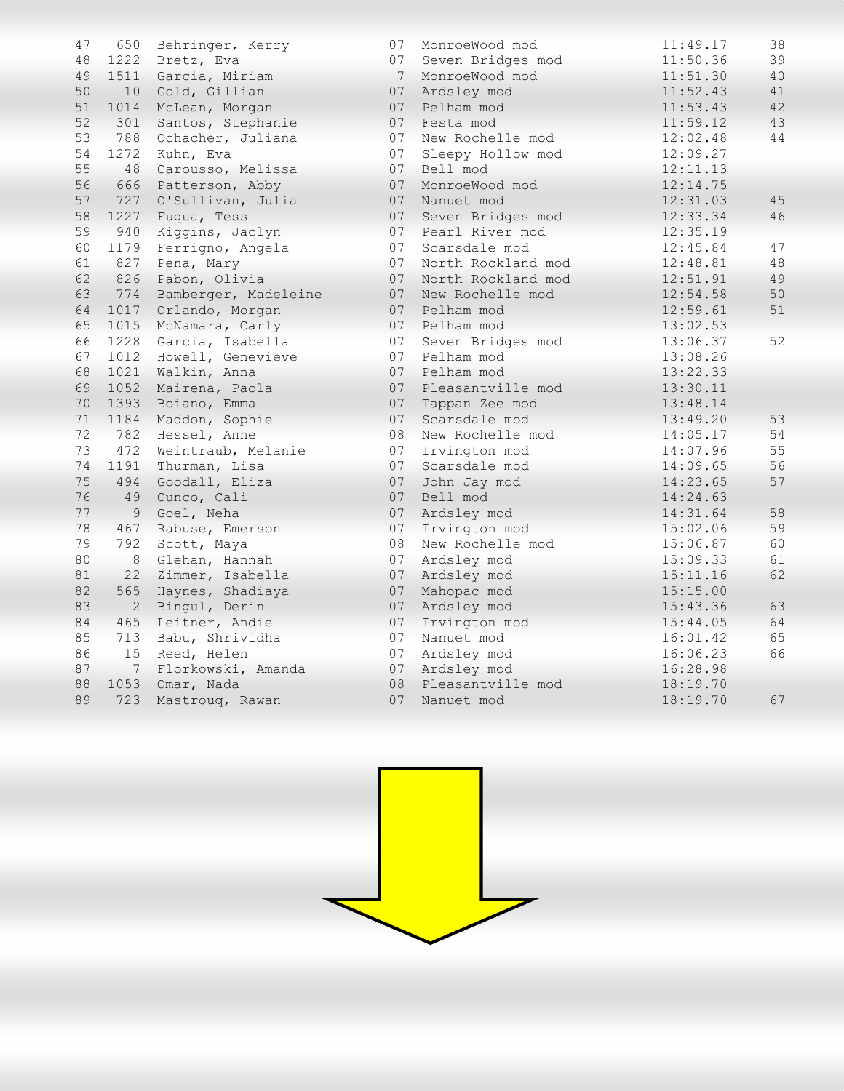| 47 | 650          | Behringer, Kerry     | 07 | MonroeWood mod     | 11:49.17 | 38 |
|----|--------------|----------------------|----|--------------------|----------|----|
| 48 | 1222         | Bretz, Eva           | 07 | Seven Bridges mod  | 11:50.36 | 39 |
| 49 |              | 1511 Garcia, Miriam  | 7  | MonroeWood mod     | 11:51.30 | 40 |
| 50 | 10           | Gold, Gillian        | 07 | Ardsley mod        | 11:52.43 | 41 |
| 51 | 1014         | McLean, Morgan       | 07 | Pelham mod         | 11:53.43 | 42 |
| 52 | 301          | Santos, Stephanie    | 07 | Festa mod          | 11:59.12 | 43 |
| 53 | 788          | Ochacher, Juliana    | 07 | New Rochelle mod   | 12:02.48 | 44 |
| 54 | 1272         | Kuhn, Eva            | 07 | Sleepy Hollow mod  | 12:09.27 |    |
| 55 | 48           | Carousso, Melissa    | 07 | Bell mod           | 12:11.13 |    |
| 56 | 666          | Patterson, Abby      | 07 | MonroeWood mod     | 12:14.75 |    |
| 57 | 727          | O'Sullivan, Julia    | 07 | Nanuet mod         | 12:31.03 | 45 |
| 58 | 1227         | Fuqua, Tess          | 07 | Seven Bridges mod  | 12:33.34 | 46 |
| 59 | 940          | Kiggins, Jaclyn      | 07 | Pearl River mod    | 12:35.19 |    |
| 60 | 1179         | Ferrigno, Angela     | 07 | Scarsdale mod      | 12:45.84 | 47 |
| 61 | 827          | Pena, Mary           | 07 | North Rockland mod | 12:48.81 | 48 |
| 62 | 826          | Pabon, Olivia        | 07 | North Rockland mod | 12:51.91 | 49 |
| 63 | 774          | Bamberger, Madeleine | 07 | New Rochelle mod   | 12:54.58 | 50 |
| 64 | 1017         | Orlando, Morgan      | 07 | Pelham mod         | 12:59.61 | 51 |
| 65 | 1015         | McNamara, Carly      | 07 | Pelham mod         | 13:02.53 |    |
| 66 | 1228         | Garcia, Isabella     | 07 | Seven Bridges mod  | 13:06.37 | 52 |
| 67 | 1012         | Howell, Genevieve    | 07 | Pelham mod         | 13:08.26 |    |
| 68 | 1021         | Walkin, Anna         | 07 | Pelham mod         | 13:22.33 |    |
| 69 | 1052         | Mairena, Paola       | 07 | Pleasantville mod  | 13:30.11 |    |
| 70 | 1393         | Boiano, Emma         | 07 | Tappan Zee mod     | 13:48.14 |    |
| 71 | 1184         | Maddon, Sophie       | 07 | Scarsdale mod      | 13:49.20 | 53 |
| 72 | 782          | Hessel, Anne         | 08 | New Rochelle mod   | 14:05.17 | 54 |
| 73 | 472          | Weintraub, Melanie   | 07 | Irvington mod      | 14:07.96 | 55 |
| 74 | 1191         | Thurman, Lisa        | 07 | Scarsdale mod      | 14:09.65 | 56 |
| 75 | 494          | Goodall, Eliza       | 07 | John Jay mod       | 14:23.65 | 57 |
| 76 | 49           | Cunco, Cali          | 07 | Bell mod           | 14:24.63 |    |
| 77 | 9            | Goel, Neha           | 07 | Ardsley mod        | 14:31.64 | 58 |
| 78 | 467          | Rabuse, Emerson      | 07 | Irvington mod      | 15:02.06 | 59 |
| 79 | 792          | Scott, Maya          | 08 | New Rochelle mod   | 15:06.87 | 60 |
| 80 | $\,8\,$      | Glehan, Hannah       | 07 | Ardsley mod        | 15:09.33 | 61 |
| 81 | 22           | Zimmer, Isabella     | 07 | Ardsley mod        | 15:11.16 | 62 |
| 82 | 565          | Haynes, Shadiaya     | 07 | Mahopac mod        | 15:15.00 |    |
| 83 | $\mathbf{2}$ | Bingul, Derin        | 07 | Ardsley mod        | 15:43.36 | 63 |
| 84 | 465          | Leitner, Andie       | 07 | Irvington mod      | 15:44.05 | 64 |
| 85 | 713          | Babu, Shrividha      | 07 | Nanuet mod         | 16:01.42 | 65 |
| 86 | 15           | Reed, Helen          | 07 | Ardsley mod        | 16:06.23 | 66 |
| 87 | 7            | Florkowski, Amanda   | 07 | Ardsley mod        | 16:28.98 |    |
| 88 | 1053         | Omar, Nada           | 08 | Pleasantville mod  | 18:19.70 |    |
| 89 | 723          | Mastrouq, Rawan      | 07 | Nanuet mod         | 18:19.70 | 67 |

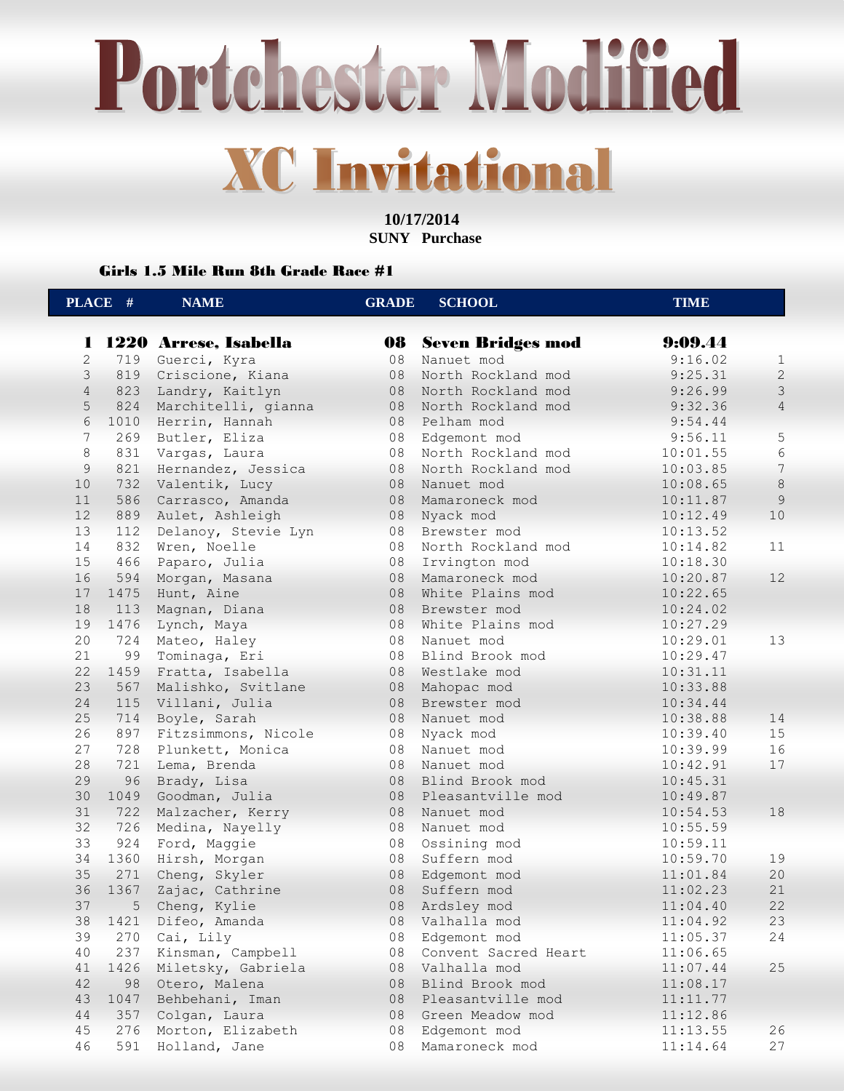**10/17/2014 SUNY Purchase** 

Girls 1.5 Mile Run 8th Grade Race #1

|                | PLACE # | <b>NAME</b>           | <b>GRADE</b> | <b>SCHOOL</b>            | <b>TIME</b>      |                |
|----------------|---------|-----------------------|--------------|--------------------------|------------------|----------------|
|                |         |                       |              |                          |                  |                |
| 1              |         | 1220 Arrese, Isabella | 08           | <b>Seven Bridges mod</b> | 9:09.44          |                |
| $\mathbf{2}$   | 719     | Guerci, Kyra          | 08           | Nanuet mod               | 9:16.02          | $\mathbf{1}$   |
| 3              | 819     | Criscione, Kiana      | 08           | North Rockland mod       | 9:25.31          | $\overline{c}$ |
| $\overline{4}$ | 823     | Landry, Kaitlyn       | 08           | North Rockland mod       | 9:26.99          | $\mathcal{E}$  |
| 5              | 824     | Marchitelli, gianna   | 08           | North Rockland mod       | 9:32.36          | $\overline{4}$ |
| 6              | 1010    | Herrin, Hannah        | 08           | Pelham mod               | 9:54.44          |                |
| $\overline{7}$ | 269     | Butler, Eliza         | 08           | Edgemont mod             | 9:56.11          | $\mathsf S$    |
| 8              | 831     | Vargas, Laura         | 08           | North Rockland mod       | 10:01.55         | 6              |
| 9              | 821     | Hernandez, Jessica    | 08           | North Rockland mod       | 10:03.85         | $\overline{7}$ |
| 10             | 732     | Valentik, Lucy        | 08           | Nanuet mod               | 10:08.65         | $\,8\,$        |
| 11             | 586     | Carrasco, Amanda      | 08           | Mamaroneck mod           | 10:11.87         | 9              |
| 12             | 889     | Aulet, Ashleigh       | 08           | Nyack mod                | $10$<br>10:12.49 |                |
| 13             | 112     | Delanoy, Stevie Lyn   | 08           | Brewster mod             | 10:13.52         |                |
| 14             | 832     | Wren, Noelle          | 08           | North Rockland mod       | 11<br>10:14.82   |                |
| 15             | 466     | Paparo, Julia         | 08           | Irvington mod            | 10:18.30         |                |
| 16             | 594     | Morgan, Masana        | 08           | Mamaroneck mod           | 12<br>10:20.87   |                |
| 17             | 1475    | Hunt, Aine            | 08           | White Plains mod         | 10:22.65         |                |
| 18             | 113     | Magnan, Diana         | 08           | Brewster mod             | 10:24.02         |                |
| 19             | 1476    | Lynch, Maya           | 08           | White Plains mod         | 10:27.29         |                |
| 20             | 724     | Mateo, Haley          | 08           | Nanuet mod               | 13<br>10:29.01   |                |
| 21             | 99      | Tominaga, Eri         | 08           | Blind Brook mod          | 10:29.47         |                |
| 22             | 1459    | Fratta, Isabella      | 08           | Westlake mod             | 10:31.11         |                |
| 23             | 567     | Malishko, Svitlane    | 08           | Mahopac mod              | 10:33.88         |                |
| 24             | 115     | Villani, Julia        | 08           | Brewster mod             | 10:34.44         |                |
| 25             | 714     | Boyle, Sarah          | 08           | Nanuet mod               | 10:38.88<br>14   |                |
| 26             | 897     | Fitzsimmons, Nicole   | 08           | Nyack mod                | 15<br>10:39.40   |                |
| 27             | 728     | Plunkett, Monica      | 08           | Nanuet mod               | 16<br>10:39.99   |                |
| 28             | 721     | Lema, Brenda          | 08           | Nanuet mod               | 17<br>10:42.91   |                |
| 29             | 96      | Brady, Lisa           | 08           | Blind Brook mod          | 10:45.31         |                |
| 30             | 1049    | Goodman, Julia        | 08           | Pleasantville mod        | 10:49.87         |                |
| 31             | 722     | Malzacher, Kerry      | 08           | Nanuet mod               | 18<br>10:54.53   |                |
| 32             | 726     | Medina, Nayelly       | 08           | Nanuet mod               | 10:55.59         |                |
| 33             | 924     | Ford, Maggie          | 08           | Ossining mod             | 10:59.11         |                |
| 34             | 1360    | Hirsh, Morgan         | 08           | Suffern mod              | 10:59.70<br>19   |                |
| 35             | 271     | Cheng, Skyler         | 08           | Edgemont mod             | 11:01.84<br>20   |                |
| 36             | 1367    | Zajac, Cathrine       | 08           | Suffern mod              | 21<br>11:02.23   |                |
| 37             | 5       | Cheng, Kylie          | 08           | Ardsley mod              | 22<br>11:04.40   |                |
| 38             | 1421    | Difeo, Amanda         | 08           | Valhalla mod             | 11:04.92         | 23             |
| 39             | 270     | Cai, Lily             | 08           | Edgemont mod             | 11:05.37<br>24   |                |
| 40             | 237     | Kinsman, Campbell     | 08           | Convent Sacred Heart     | 11:06.65         |                |
| 41             | 1426    | Miletsky, Gabriela    | 08           | Valhalla mod             | 25<br>11:07.44   |                |
| 42             | 98      | Otero, Malena         | 08           | Blind Brook mod          | 11:08.17         |                |
| 43             | 1047    | Behbehani, Iman       | 08           | Pleasantville mod        | 11:11.77         |                |
| 44             | 357     | Colgan, Laura         | 08           | Green Meadow mod         | 11:12.86         |                |
| 45             | 276     | Morton, Elizabeth     | 08           | Edgemont mod             | 11:13.55<br>26   |                |
| 46             | 591     | Holland, Jane         | 08           | Mamaroneck mod           | 11:14.64         | 27             |
|                |         |                       |              |                          |                  |                |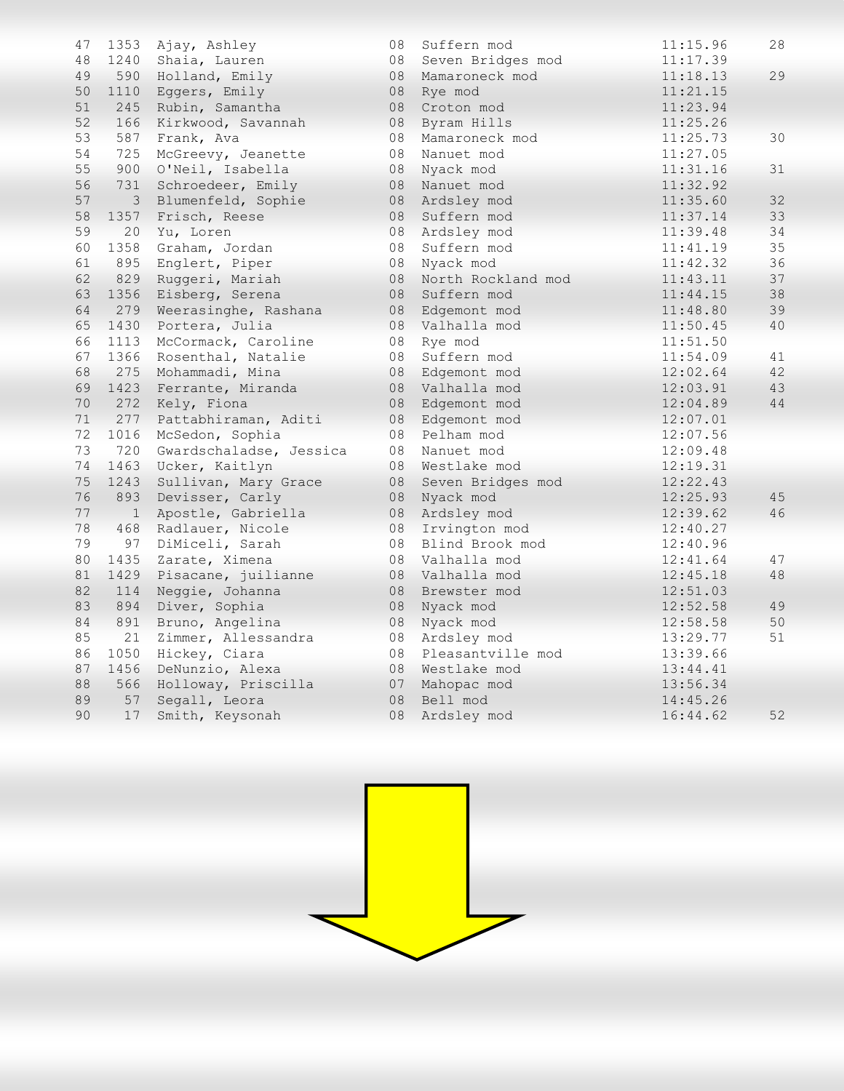| 47 | 1353           | Ajay, Ashley            | 08 | Suffern mod        | 11:15.96 | 28 |
|----|----------------|-------------------------|----|--------------------|----------|----|
| 48 | 1240           | Shaia, Lauren           | 08 | Seven Bridges mod  | 11:17.39 |    |
| 49 | 590            | Holland, Emily          | 08 | Mamaroneck mod     | 11:18.13 | 29 |
| 50 | 1110           | Eggers, Emily           | 08 | Rye mod            | 11:21.15 |    |
| 51 | 245            | Rubin, Samantha         | 08 | Croton mod         | 11:23.94 |    |
| 52 | 166            | Kirkwood, Savannah      | 08 | Byram Hills        | 11:25.26 |    |
| 53 | 587            | Frank, Ava              | 08 | Mamaroneck mod     | 11:25.73 | 30 |
| 54 | 725            | McGreevy, Jeanette      | 08 | Nanuet mod         | 11:27.05 |    |
| 55 | 900            | O'Neil, Isabella        | 08 | Nyack mod          | 11:31.16 | 31 |
| 56 | 731            | Schroedeer, Emily       | 08 | Nanuet mod         | 11:32.92 |    |
| 57 | $\mathfrak{Z}$ | Blumenfeld, Sophie      | 08 | Ardsley mod        | 11:35.60 | 32 |
| 58 | 1357           | Frisch, Reese           | 08 | Suffern mod        | 11:37.14 | 33 |
| 59 | 20             | Yu, Loren               | 08 | Ardsley mod        | 11:39.48 | 34 |
| 60 | 1358           | Graham, Jordan          | 08 | Suffern mod        | 11:41.19 | 35 |
| 61 | 895            | Englert, Piper          | 08 | Nyack mod          | 11:42.32 | 36 |
| 62 | 829            | Ruggeri, Mariah         | 08 | North Rockland mod | 11:43.11 | 37 |
| 63 | 1356           | Eisberg, Serena         | 08 | Suffern mod        | 11:44.15 | 38 |
| 64 | 279            | Weerasinghe, Rashana    | 08 | Edgemont mod       | 11:48.80 | 39 |
| 65 | 1430           | Portera, Julia          | 08 | Valhalla mod       | 11:50.45 | 40 |
| 66 | 1113           | McCormack, Caroline     | 08 | Rye mod            | 11:51.50 |    |
| 67 | 1366           | Rosenthal, Natalie      | 08 | Suffern mod        | 11:54.09 | 41 |
| 68 | 275            | Mohammadi, Mina         | 08 | Edgemont mod       | 12:02.64 | 42 |
| 69 | 1423           | Ferrante, Miranda       | 08 | Valhalla mod       | 12:03.91 | 43 |
| 70 | 272            | Kely, Fiona             | 08 | Edgemont mod       | 12:04.89 | 44 |
| 71 | 277            | Pattabhiraman, Aditi    | 08 | Edgemont mod       | 12:07.01 |    |
| 72 | 1016           | McSedon, Sophia         | 08 | Pelham mod         | 12:07.56 |    |
| 73 | 720            | Gwardschaladse, Jessica | 08 | Nanuet mod         | 12:09.48 |    |
| 74 | 1463           | Ucker, Kaitlyn          | 08 | Westlake mod       | 12:19.31 |    |
| 75 | 1243           | Sullivan, Mary Grace    | 08 | Seven Bridges mod  | 12:22.43 |    |
| 76 | 893            | Devisser, Carly         | 08 | Nyack mod          | 12:25.93 | 45 |
| 77 | $\mathbf{1}$   | Apostle, Gabriella      | 08 | Ardsley mod        | 12:39.62 | 46 |
| 78 | 468            | Radlauer, Nicole        | 08 | Irvington mod      | 12:40.27 |    |
| 79 | 97             | DiMiceli, Sarah         | 08 | Blind Brook mod    | 12:40.96 |    |
| 80 | 1435           | Zarate, Ximena          | 08 | Valhalla mod       | 12:41.64 | 47 |
| 81 | 1429           | Pisacane, juilianne     | 08 | Valhalla mod       | 12:45.18 | 48 |
| 82 | 114            | Neggie, Johanna         | 08 | Brewster mod       | 12:51.03 |    |
| 83 | 894            | Diver, Sophia           | 08 | Nyack mod          | 12:52.58 | 49 |
| 84 | 891            | Bruno, Angelina         | 08 | Nyack mod          | 12:58.58 | 50 |
| 85 | 21             | Zimmer, Allessandra     | 08 | Ardsley mod        | 13:29.77 | 51 |
| 86 | 1050           | Hickey, Ciara           | 08 | Pleasantville mod  | 13:39.66 |    |
| 87 | 1456           | DeNunzio, Alexa         | 08 | Westlake mod       | 13:44.41 |    |
| 88 | 566            | Holloway, Priscilla     | 07 | Mahopac mod        | 13:56.34 |    |
| 89 | 57             | Segall, Leora           | 08 | Bell mod           | 14:45.26 |    |
| 90 | 17             | Smith, Keysonah         | 08 | Ardsley mod        | 16:44.62 | 52 |
|    |                |                         |    |                    |          |    |

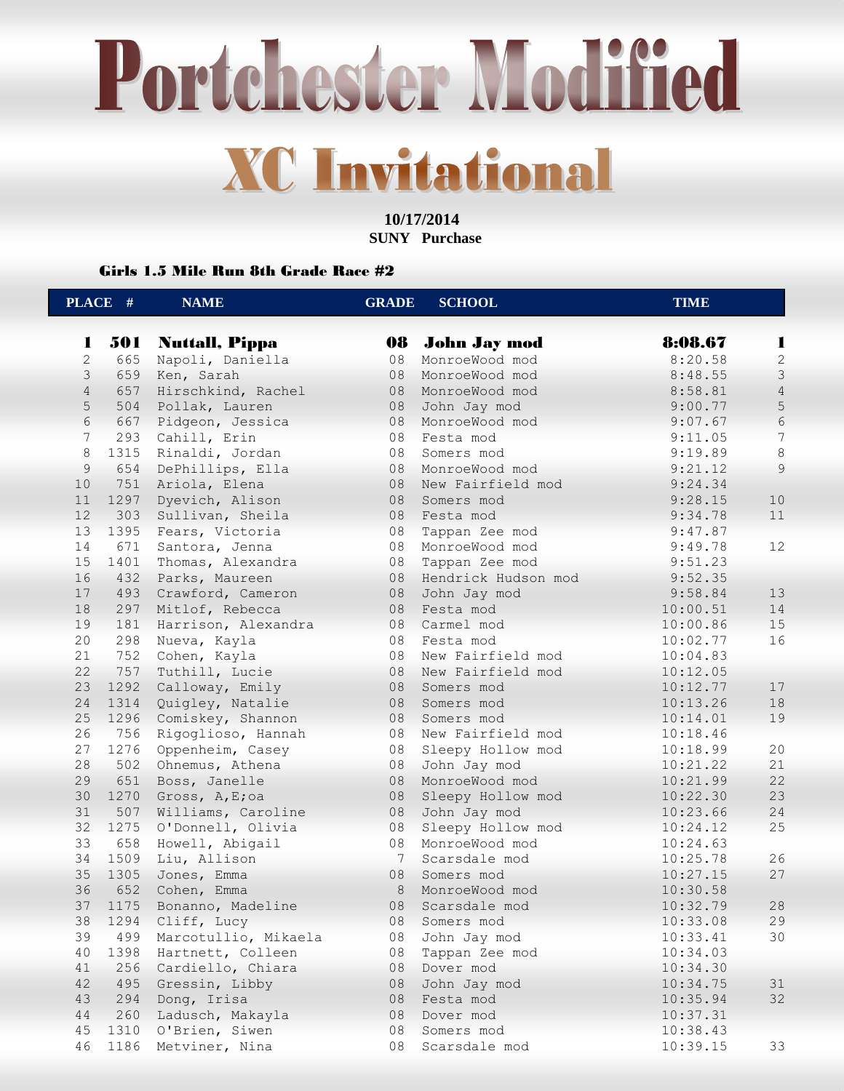**10/17/2014 SUNY Purchase** 

### Girls 1.5 Mile Run 8th Grade Race #2

| 501<br>8:08.67<br><b>Nuttall, Pippa</b><br>08<br><b>John Jay mod</b><br>1<br>1<br>$\mathbf{2}$<br>$\mathbf{2}$<br>665<br>Napoli, Daniella<br>08<br>MonroeWood mod<br>8:20.58<br>3<br>$\mathfrak{Z}$<br>659<br>Ken, Sarah<br>08<br>8:48.55<br>MonroeWood mod<br>$\overline{4}$<br>657<br>$\sqrt{4}$<br>Hirschkind, Rachel<br>08<br>MonroeWood mod<br>8:58.81<br>5<br>$\mathsf S$<br>504<br>Pollak, Lauren<br>08<br>John Jay mod<br>9:00.77<br>6<br>6<br>667<br>Pidgeon, Jessica<br>08<br>9:07.67<br>MonroeWood mod<br>7<br>7<br>293<br>Cahill, Erin<br>08<br>Festa mod<br>9:11.05<br>8<br>$\,8\,$<br>1315<br>08<br>Rinaldi, Jordan<br>9:19.89<br>Somers mod<br>9<br>9<br>654<br>DePhillips, Ella<br>08<br>MonroeWood mod<br>9:21.12<br>751<br>10<br>Ariola, Elena<br>08<br>9:24.34<br>New Fairfield mod<br>10<br>11<br>1297<br>Dyevich, Alison<br>08<br>9:28.15<br>Somers mod<br>12<br>303<br>Sullivan, Sheila<br>08<br>9:34.78<br>11<br>Festa mod<br>13<br>1395<br>08<br>9:47.87<br>Fears, Victoria<br>Tappan Zee mod<br>14<br>12<br>671<br>Santora, Jenna<br>08<br>MonroeWood mod<br>9:49.78<br>15<br>1401<br>Thomas, Alexandra<br>08<br>Tappan Zee mod<br>9:51.23<br>16<br>432<br>Parks, Maureen<br>08<br>9:52.35<br>Hendrick Hudson mod<br>17<br>493<br>Crawford, Cameron<br>08<br>9:58.84<br>13<br>John Jay mod<br>18<br>297<br>Mitlof, Rebecca<br>08<br>Festa mod<br>14<br>10:00.51<br>19<br>181<br>15<br>Harrison, Alexandra<br>08<br>Carmel mod<br>10:00.86<br>20<br>16<br>298<br>08<br>Festa mod<br>10:02.77<br>Nueva, Kayla<br>21<br>752<br>Cohen, Kayla<br>08<br>New Fairfield mod<br>10:04.83<br>22<br>757<br>Tuthill, Lucie<br>08<br>New Fairfield mod<br>10:12.05<br>23<br>1292<br>08<br>17<br>Calloway, Emily<br>Somers mod<br>10:12.77<br>24<br>18<br>1314<br>Quigley, Natalie<br>08<br>10:13.26<br>Somers mod<br>25<br>19<br>1296<br>Comiskey, Shannon<br>08<br>10:14.01<br>Somers mod<br>26<br>756<br>08<br>New Fairfield mod<br>10:18.46<br>Rigoglioso, Hannah<br>27<br>20<br>1276<br>08<br>Oppenheim, Casey<br>Sleepy Hollow mod<br>10:18.99<br>28<br>502<br>08<br>John Jay mod<br>21<br>Ohnemus, Athena<br>10:21.22<br>22<br>29<br>651<br>08<br>MonroeWood mod<br>10:21.99<br>Boss, Janelle<br>30<br>1270<br>23<br>08<br>10:22.30<br>Gross, A, E;oa<br>Sleepy Hollow mod<br>31<br>24<br>507<br>08<br>10:23.66<br>Williams, Caroline<br>John Jay mod<br>32<br>1275<br>Sleepy Hollow mod<br>25<br>O'Donnell, Olivia<br>08<br>10:24.12<br>33<br>658<br>Howell, Abigail<br>08<br>MonroeWood mod<br>10:24.63<br>26<br>34<br>1509<br>Liu, Allison<br>7<br>10:25.78<br>Scarsdale mod<br>35<br>27<br>1305<br>08<br>10:27.15<br>Jones, Emma<br>Somers mod<br>36<br>652<br>8<br>MonroeWood mod<br>Cohen, Emma<br>10:30.58<br>37<br>08<br>10:32.79<br>$2\,8$<br>1175<br>Bonanno, Madeline<br>Scarsdale mod |
|---------------------------------------------------------------------------------------------------------------------------------------------------------------------------------------------------------------------------------------------------------------------------------------------------------------------------------------------------------------------------------------------------------------------------------------------------------------------------------------------------------------------------------------------------------------------------------------------------------------------------------------------------------------------------------------------------------------------------------------------------------------------------------------------------------------------------------------------------------------------------------------------------------------------------------------------------------------------------------------------------------------------------------------------------------------------------------------------------------------------------------------------------------------------------------------------------------------------------------------------------------------------------------------------------------------------------------------------------------------------------------------------------------------------------------------------------------------------------------------------------------------------------------------------------------------------------------------------------------------------------------------------------------------------------------------------------------------------------------------------------------------------------------------------------------------------------------------------------------------------------------------------------------------------------------------------------------------------------------------------------------------------------------------------------------------------------------------------------------------------------------------------------------------------------------------------------------------------------------------------------------------------------------------------------------------------------------------------------------------------------------------------------------------------------------------------------------------------------------------------------------------------------------------------------------------------------------------------------------------------------------------------------------------------------------------------------------------------------------------------------------------------------------------------------------------------|
|                                                                                                                                                                                                                                                                                                                                                                                                                                                                                                                                                                                                                                                                                                                                                                                                                                                                                                                                                                                                                                                                                                                                                                                                                                                                                                                                                                                                                                                                                                                                                                                                                                                                                                                                                                                                                                                                                                                                                                                                                                                                                                                                                                                                                                                                                                                                                                                                                                                                                                                                                                                                                                                                                                                                                                                                                     |
|                                                                                                                                                                                                                                                                                                                                                                                                                                                                                                                                                                                                                                                                                                                                                                                                                                                                                                                                                                                                                                                                                                                                                                                                                                                                                                                                                                                                                                                                                                                                                                                                                                                                                                                                                                                                                                                                                                                                                                                                                                                                                                                                                                                                                                                                                                                                                                                                                                                                                                                                                                                                                                                                                                                                                                                                                     |
|                                                                                                                                                                                                                                                                                                                                                                                                                                                                                                                                                                                                                                                                                                                                                                                                                                                                                                                                                                                                                                                                                                                                                                                                                                                                                                                                                                                                                                                                                                                                                                                                                                                                                                                                                                                                                                                                                                                                                                                                                                                                                                                                                                                                                                                                                                                                                                                                                                                                                                                                                                                                                                                                                                                                                                                                                     |
|                                                                                                                                                                                                                                                                                                                                                                                                                                                                                                                                                                                                                                                                                                                                                                                                                                                                                                                                                                                                                                                                                                                                                                                                                                                                                                                                                                                                                                                                                                                                                                                                                                                                                                                                                                                                                                                                                                                                                                                                                                                                                                                                                                                                                                                                                                                                                                                                                                                                                                                                                                                                                                                                                                                                                                                                                     |
|                                                                                                                                                                                                                                                                                                                                                                                                                                                                                                                                                                                                                                                                                                                                                                                                                                                                                                                                                                                                                                                                                                                                                                                                                                                                                                                                                                                                                                                                                                                                                                                                                                                                                                                                                                                                                                                                                                                                                                                                                                                                                                                                                                                                                                                                                                                                                                                                                                                                                                                                                                                                                                                                                                                                                                                                                     |
|                                                                                                                                                                                                                                                                                                                                                                                                                                                                                                                                                                                                                                                                                                                                                                                                                                                                                                                                                                                                                                                                                                                                                                                                                                                                                                                                                                                                                                                                                                                                                                                                                                                                                                                                                                                                                                                                                                                                                                                                                                                                                                                                                                                                                                                                                                                                                                                                                                                                                                                                                                                                                                                                                                                                                                                                                     |
|                                                                                                                                                                                                                                                                                                                                                                                                                                                                                                                                                                                                                                                                                                                                                                                                                                                                                                                                                                                                                                                                                                                                                                                                                                                                                                                                                                                                                                                                                                                                                                                                                                                                                                                                                                                                                                                                                                                                                                                                                                                                                                                                                                                                                                                                                                                                                                                                                                                                                                                                                                                                                                                                                                                                                                                                                     |
|                                                                                                                                                                                                                                                                                                                                                                                                                                                                                                                                                                                                                                                                                                                                                                                                                                                                                                                                                                                                                                                                                                                                                                                                                                                                                                                                                                                                                                                                                                                                                                                                                                                                                                                                                                                                                                                                                                                                                                                                                                                                                                                                                                                                                                                                                                                                                                                                                                                                                                                                                                                                                                                                                                                                                                                                                     |
|                                                                                                                                                                                                                                                                                                                                                                                                                                                                                                                                                                                                                                                                                                                                                                                                                                                                                                                                                                                                                                                                                                                                                                                                                                                                                                                                                                                                                                                                                                                                                                                                                                                                                                                                                                                                                                                                                                                                                                                                                                                                                                                                                                                                                                                                                                                                                                                                                                                                                                                                                                                                                                                                                                                                                                                                                     |
|                                                                                                                                                                                                                                                                                                                                                                                                                                                                                                                                                                                                                                                                                                                                                                                                                                                                                                                                                                                                                                                                                                                                                                                                                                                                                                                                                                                                                                                                                                                                                                                                                                                                                                                                                                                                                                                                                                                                                                                                                                                                                                                                                                                                                                                                                                                                                                                                                                                                                                                                                                                                                                                                                                                                                                                                                     |
|                                                                                                                                                                                                                                                                                                                                                                                                                                                                                                                                                                                                                                                                                                                                                                                                                                                                                                                                                                                                                                                                                                                                                                                                                                                                                                                                                                                                                                                                                                                                                                                                                                                                                                                                                                                                                                                                                                                                                                                                                                                                                                                                                                                                                                                                                                                                                                                                                                                                                                                                                                                                                                                                                                                                                                                                                     |
|                                                                                                                                                                                                                                                                                                                                                                                                                                                                                                                                                                                                                                                                                                                                                                                                                                                                                                                                                                                                                                                                                                                                                                                                                                                                                                                                                                                                                                                                                                                                                                                                                                                                                                                                                                                                                                                                                                                                                                                                                                                                                                                                                                                                                                                                                                                                                                                                                                                                                                                                                                                                                                                                                                                                                                                                                     |
|                                                                                                                                                                                                                                                                                                                                                                                                                                                                                                                                                                                                                                                                                                                                                                                                                                                                                                                                                                                                                                                                                                                                                                                                                                                                                                                                                                                                                                                                                                                                                                                                                                                                                                                                                                                                                                                                                                                                                                                                                                                                                                                                                                                                                                                                                                                                                                                                                                                                                                                                                                                                                                                                                                                                                                                                                     |
|                                                                                                                                                                                                                                                                                                                                                                                                                                                                                                                                                                                                                                                                                                                                                                                                                                                                                                                                                                                                                                                                                                                                                                                                                                                                                                                                                                                                                                                                                                                                                                                                                                                                                                                                                                                                                                                                                                                                                                                                                                                                                                                                                                                                                                                                                                                                                                                                                                                                                                                                                                                                                                                                                                                                                                                                                     |
|                                                                                                                                                                                                                                                                                                                                                                                                                                                                                                                                                                                                                                                                                                                                                                                                                                                                                                                                                                                                                                                                                                                                                                                                                                                                                                                                                                                                                                                                                                                                                                                                                                                                                                                                                                                                                                                                                                                                                                                                                                                                                                                                                                                                                                                                                                                                                                                                                                                                                                                                                                                                                                                                                                                                                                                                                     |
|                                                                                                                                                                                                                                                                                                                                                                                                                                                                                                                                                                                                                                                                                                                                                                                                                                                                                                                                                                                                                                                                                                                                                                                                                                                                                                                                                                                                                                                                                                                                                                                                                                                                                                                                                                                                                                                                                                                                                                                                                                                                                                                                                                                                                                                                                                                                                                                                                                                                                                                                                                                                                                                                                                                                                                                                                     |
|                                                                                                                                                                                                                                                                                                                                                                                                                                                                                                                                                                                                                                                                                                                                                                                                                                                                                                                                                                                                                                                                                                                                                                                                                                                                                                                                                                                                                                                                                                                                                                                                                                                                                                                                                                                                                                                                                                                                                                                                                                                                                                                                                                                                                                                                                                                                                                                                                                                                                                                                                                                                                                                                                                                                                                                                                     |
|                                                                                                                                                                                                                                                                                                                                                                                                                                                                                                                                                                                                                                                                                                                                                                                                                                                                                                                                                                                                                                                                                                                                                                                                                                                                                                                                                                                                                                                                                                                                                                                                                                                                                                                                                                                                                                                                                                                                                                                                                                                                                                                                                                                                                                                                                                                                                                                                                                                                                                                                                                                                                                                                                                                                                                                                                     |
|                                                                                                                                                                                                                                                                                                                                                                                                                                                                                                                                                                                                                                                                                                                                                                                                                                                                                                                                                                                                                                                                                                                                                                                                                                                                                                                                                                                                                                                                                                                                                                                                                                                                                                                                                                                                                                                                                                                                                                                                                                                                                                                                                                                                                                                                                                                                                                                                                                                                                                                                                                                                                                                                                                                                                                                                                     |
|                                                                                                                                                                                                                                                                                                                                                                                                                                                                                                                                                                                                                                                                                                                                                                                                                                                                                                                                                                                                                                                                                                                                                                                                                                                                                                                                                                                                                                                                                                                                                                                                                                                                                                                                                                                                                                                                                                                                                                                                                                                                                                                                                                                                                                                                                                                                                                                                                                                                                                                                                                                                                                                                                                                                                                                                                     |
|                                                                                                                                                                                                                                                                                                                                                                                                                                                                                                                                                                                                                                                                                                                                                                                                                                                                                                                                                                                                                                                                                                                                                                                                                                                                                                                                                                                                                                                                                                                                                                                                                                                                                                                                                                                                                                                                                                                                                                                                                                                                                                                                                                                                                                                                                                                                                                                                                                                                                                                                                                                                                                                                                                                                                                                                                     |
|                                                                                                                                                                                                                                                                                                                                                                                                                                                                                                                                                                                                                                                                                                                                                                                                                                                                                                                                                                                                                                                                                                                                                                                                                                                                                                                                                                                                                                                                                                                                                                                                                                                                                                                                                                                                                                                                                                                                                                                                                                                                                                                                                                                                                                                                                                                                                                                                                                                                                                                                                                                                                                                                                                                                                                                                                     |
|                                                                                                                                                                                                                                                                                                                                                                                                                                                                                                                                                                                                                                                                                                                                                                                                                                                                                                                                                                                                                                                                                                                                                                                                                                                                                                                                                                                                                                                                                                                                                                                                                                                                                                                                                                                                                                                                                                                                                                                                                                                                                                                                                                                                                                                                                                                                                                                                                                                                                                                                                                                                                                                                                                                                                                                                                     |
|                                                                                                                                                                                                                                                                                                                                                                                                                                                                                                                                                                                                                                                                                                                                                                                                                                                                                                                                                                                                                                                                                                                                                                                                                                                                                                                                                                                                                                                                                                                                                                                                                                                                                                                                                                                                                                                                                                                                                                                                                                                                                                                                                                                                                                                                                                                                                                                                                                                                                                                                                                                                                                                                                                                                                                                                                     |
|                                                                                                                                                                                                                                                                                                                                                                                                                                                                                                                                                                                                                                                                                                                                                                                                                                                                                                                                                                                                                                                                                                                                                                                                                                                                                                                                                                                                                                                                                                                                                                                                                                                                                                                                                                                                                                                                                                                                                                                                                                                                                                                                                                                                                                                                                                                                                                                                                                                                                                                                                                                                                                                                                                                                                                                                                     |
|                                                                                                                                                                                                                                                                                                                                                                                                                                                                                                                                                                                                                                                                                                                                                                                                                                                                                                                                                                                                                                                                                                                                                                                                                                                                                                                                                                                                                                                                                                                                                                                                                                                                                                                                                                                                                                                                                                                                                                                                                                                                                                                                                                                                                                                                                                                                                                                                                                                                                                                                                                                                                                                                                                                                                                                                                     |
|                                                                                                                                                                                                                                                                                                                                                                                                                                                                                                                                                                                                                                                                                                                                                                                                                                                                                                                                                                                                                                                                                                                                                                                                                                                                                                                                                                                                                                                                                                                                                                                                                                                                                                                                                                                                                                                                                                                                                                                                                                                                                                                                                                                                                                                                                                                                                                                                                                                                                                                                                                                                                                                                                                                                                                                                                     |
|                                                                                                                                                                                                                                                                                                                                                                                                                                                                                                                                                                                                                                                                                                                                                                                                                                                                                                                                                                                                                                                                                                                                                                                                                                                                                                                                                                                                                                                                                                                                                                                                                                                                                                                                                                                                                                                                                                                                                                                                                                                                                                                                                                                                                                                                                                                                                                                                                                                                                                                                                                                                                                                                                                                                                                                                                     |
|                                                                                                                                                                                                                                                                                                                                                                                                                                                                                                                                                                                                                                                                                                                                                                                                                                                                                                                                                                                                                                                                                                                                                                                                                                                                                                                                                                                                                                                                                                                                                                                                                                                                                                                                                                                                                                                                                                                                                                                                                                                                                                                                                                                                                                                                                                                                                                                                                                                                                                                                                                                                                                                                                                                                                                                                                     |
|                                                                                                                                                                                                                                                                                                                                                                                                                                                                                                                                                                                                                                                                                                                                                                                                                                                                                                                                                                                                                                                                                                                                                                                                                                                                                                                                                                                                                                                                                                                                                                                                                                                                                                                                                                                                                                                                                                                                                                                                                                                                                                                                                                                                                                                                                                                                                                                                                                                                                                                                                                                                                                                                                                                                                                                                                     |
|                                                                                                                                                                                                                                                                                                                                                                                                                                                                                                                                                                                                                                                                                                                                                                                                                                                                                                                                                                                                                                                                                                                                                                                                                                                                                                                                                                                                                                                                                                                                                                                                                                                                                                                                                                                                                                                                                                                                                                                                                                                                                                                                                                                                                                                                                                                                                                                                                                                                                                                                                                                                                                                                                                                                                                                                                     |
|                                                                                                                                                                                                                                                                                                                                                                                                                                                                                                                                                                                                                                                                                                                                                                                                                                                                                                                                                                                                                                                                                                                                                                                                                                                                                                                                                                                                                                                                                                                                                                                                                                                                                                                                                                                                                                                                                                                                                                                                                                                                                                                                                                                                                                                                                                                                                                                                                                                                                                                                                                                                                                                                                                                                                                                                                     |
|                                                                                                                                                                                                                                                                                                                                                                                                                                                                                                                                                                                                                                                                                                                                                                                                                                                                                                                                                                                                                                                                                                                                                                                                                                                                                                                                                                                                                                                                                                                                                                                                                                                                                                                                                                                                                                                                                                                                                                                                                                                                                                                                                                                                                                                                                                                                                                                                                                                                                                                                                                                                                                                                                                                                                                                                                     |
|                                                                                                                                                                                                                                                                                                                                                                                                                                                                                                                                                                                                                                                                                                                                                                                                                                                                                                                                                                                                                                                                                                                                                                                                                                                                                                                                                                                                                                                                                                                                                                                                                                                                                                                                                                                                                                                                                                                                                                                                                                                                                                                                                                                                                                                                                                                                                                                                                                                                                                                                                                                                                                                                                                                                                                                                                     |
|                                                                                                                                                                                                                                                                                                                                                                                                                                                                                                                                                                                                                                                                                                                                                                                                                                                                                                                                                                                                                                                                                                                                                                                                                                                                                                                                                                                                                                                                                                                                                                                                                                                                                                                                                                                                                                                                                                                                                                                                                                                                                                                                                                                                                                                                                                                                                                                                                                                                                                                                                                                                                                                                                                                                                                                                                     |
|                                                                                                                                                                                                                                                                                                                                                                                                                                                                                                                                                                                                                                                                                                                                                                                                                                                                                                                                                                                                                                                                                                                                                                                                                                                                                                                                                                                                                                                                                                                                                                                                                                                                                                                                                                                                                                                                                                                                                                                                                                                                                                                                                                                                                                                                                                                                                                                                                                                                                                                                                                                                                                                                                                                                                                                                                     |
|                                                                                                                                                                                                                                                                                                                                                                                                                                                                                                                                                                                                                                                                                                                                                                                                                                                                                                                                                                                                                                                                                                                                                                                                                                                                                                                                                                                                                                                                                                                                                                                                                                                                                                                                                                                                                                                                                                                                                                                                                                                                                                                                                                                                                                                                                                                                                                                                                                                                                                                                                                                                                                                                                                                                                                                                                     |
| 29<br>38<br>1294<br>Cliff, Lucy<br>Somers mod<br>10:33.08<br>08                                                                                                                                                                                                                                                                                                                                                                                                                                                                                                                                                                                                                                                                                                                                                                                                                                                                                                                                                                                                                                                                                                                                                                                                                                                                                                                                                                                                                                                                                                                                                                                                                                                                                                                                                                                                                                                                                                                                                                                                                                                                                                                                                                                                                                                                                                                                                                                                                                                                                                                                                                                                                                                                                                                                                     |
| 39<br>499<br>Marcotullio, Mikaela<br>10:33.41<br>30<br>08<br>John Jay mod                                                                                                                                                                                                                                                                                                                                                                                                                                                                                                                                                                                                                                                                                                                                                                                                                                                                                                                                                                                                                                                                                                                                                                                                                                                                                                                                                                                                                                                                                                                                                                                                                                                                                                                                                                                                                                                                                                                                                                                                                                                                                                                                                                                                                                                                                                                                                                                                                                                                                                                                                                                                                                                                                                                                           |
| 40<br>1398<br>10:34.03<br>Hartnett, Colleen<br>08<br>Tappan Zee mod                                                                                                                                                                                                                                                                                                                                                                                                                                                                                                                                                                                                                                                                                                                                                                                                                                                                                                                                                                                                                                                                                                                                                                                                                                                                                                                                                                                                                                                                                                                                                                                                                                                                                                                                                                                                                                                                                                                                                                                                                                                                                                                                                                                                                                                                                                                                                                                                                                                                                                                                                                                                                                                                                                                                                 |
| 41<br>256<br>Cardiello, Chiara<br>Dover mod<br>10:34.30<br>08                                                                                                                                                                                                                                                                                                                                                                                                                                                                                                                                                                                                                                                                                                                                                                                                                                                                                                                                                                                                                                                                                                                                                                                                                                                                                                                                                                                                                                                                                                                                                                                                                                                                                                                                                                                                                                                                                                                                                                                                                                                                                                                                                                                                                                                                                                                                                                                                                                                                                                                                                                                                                                                                                                                                                       |
| 42<br>495<br>Gressin, Libby<br>08<br>John Jay mod<br>10:34.75<br>31                                                                                                                                                                                                                                                                                                                                                                                                                                                                                                                                                                                                                                                                                                                                                                                                                                                                                                                                                                                                                                                                                                                                                                                                                                                                                                                                                                                                                                                                                                                                                                                                                                                                                                                                                                                                                                                                                                                                                                                                                                                                                                                                                                                                                                                                                                                                                                                                                                                                                                                                                                                                                                                                                                                                                 |
| 43<br>Dong, Irisa<br>Festa mod<br>32<br>294<br>08<br>10:35.94                                                                                                                                                                                                                                                                                                                                                                                                                                                                                                                                                                                                                                                                                                                                                                                                                                                                                                                                                                                                                                                                                                                                                                                                                                                                                                                                                                                                                                                                                                                                                                                                                                                                                                                                                                                                                                                                                                                                                                                                                                                                                                                                                                                                                                                                                                                                                                                                                                                                                                                                                                                                                                                                                                                                                       |
| 260<br>44<br>Ladusch, Makayla<br>08<br>Dover mod<br>10:37.31                                                                                                                                                                                                                                                                                                                                                                                                                                                                                                                                                                                                                                                                                                                                                                                                                                                                                                                                                                                                                                                                                                                                                                                                                                                                                                                                                                                                                                                                                                                                                                                                                                                                                                                                                                                                                                                                                                                                                                                                                                                                                                                                                                                                                                                                                                                                                                                                                                                                                                                                                                                                                                                                                                                                                        |
| Somers mod<br>45<br>1310<br>O'Brien, Siwen<br>08<br>10:38.43                                                                                                                                                                                                                                                                                                                                                                                                                                                                                                                                                                                                                                                                                                                                                                                                                                                                                                                                                                                                                                                                                                                                                                                                                                                                                                                                                                                                                                                                                                                                                                                                                                                                                                                                                                                                                                                                                                                                                                                                                                                                                                                                                                                                                                                                                                                                                                                                                                                                                                                                                                                                                                                                                                                                                        |
| 46<br>1186<br>Scarsdale mod<br>10:39.15<br>33<br>Metviner, Nina<br>08                                                                                                                                                                                                                                                                                                                                                                                                                                                                                                                                                                                                                                                                                                                                                                                                                                                                                                                                                                                                                                                                                                                                                                                                                                                                                                                                                                                                                                                                                                                                                                                                                                                                                                                                                                                                                                                                                                                                                                                                                                                                                                                                                                                                                                                                                                                                                                                                                                                                                                                                                                                                                                                                                                                                               |